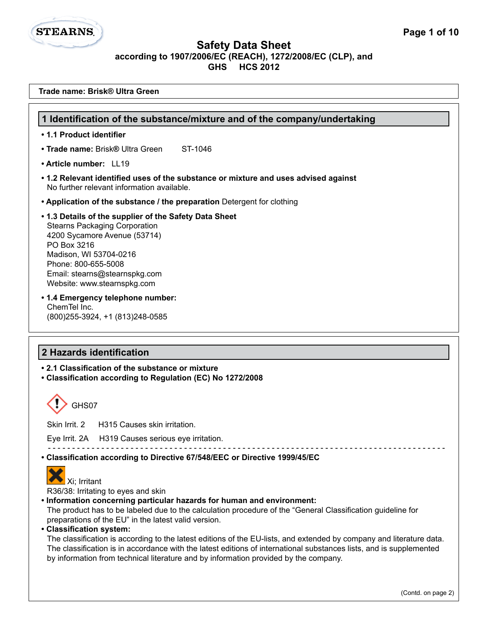# **STEARNS**

**Trade name: Brisk® Ultra Green**

## **Safety Data Sheet according to 1907/2006/EC (REACH), 1272/2008/EC (CLP), and GHS HCS 2012**

## **2 Hazards identification • 2.1 Classification of the substance or mixture • Classification according to Regulation (EC) No 1272/2008**  GHS07 Skin Irrit. 2 H315 Causes skin irritation. Eye Irrit. 2A H319 Causes serious eye irritation. - - - - - - - - - - - - - - - - - - - - - - - - - - - - - - - - - - - - - - - - - - - - - - - - - - - - - - - - - - - - - - - - - - - - - - - - - - - - - - - - - **• Classification according to Directive 67/548/EEC or Directive 1999/45/EC**  Xi; Irritant R36/38: Irritating to eyes and skin **• Information concerning particular hazards for human and environment:** The product has to be labeled due to the calculation procedure of the "General Classification guideline for preparations of the EU" in the latest valid version. **• Classification system:** The classification is according to the latest editions of the EU-lists, and extended by company and literature data. The classification is in accordance with the latest editions of international substances lists, and is supplemented by information from technical literature and by information provided by the company. **1 Identification of the substance/mixture and of the company/undertaking • 1.1 Product identifier • Trade name: Brisk® Ultra Green ST-1046 • Article number:** LL19 **• 1.2 Relevant identified uses of the substance or mixture and uses advised against** No further relevant information available. **• Application of the substance / the preparation** Detergent for clothing **• 1.3 Details of the supplier of the Safety Data Sheet** Stearns Packaging Corporation 4200 Sycamore Avenue (53714) PO Box 3216 Madison, WI 53704-0216 Phone: 800-655-5008 Email: stearns@stearnspkg.com Website: www.stearnspkg.com **• 1.4 Emergency telephone number:** ChemTel Inc. (800)255-3924, +1 (813)248-0585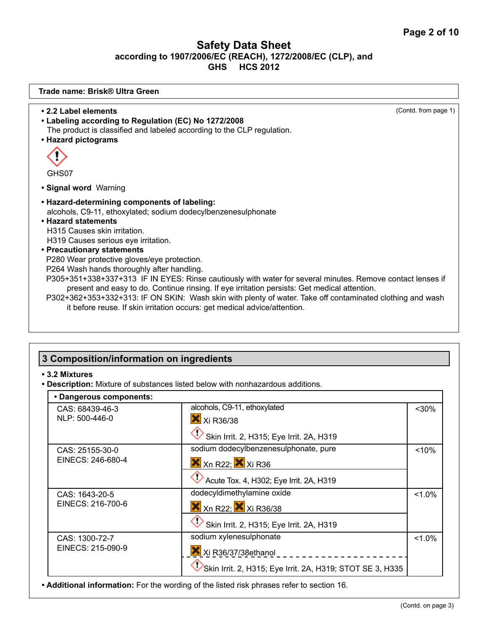| Trade name: Brisk® Ultra Green                                                                                                                                                                                                                                                                                                                                                                                                                     |                      |
|----------------------------------------------------------------------------------------------------------------------------------------------------------------------------------------------------------------------------------------------------------------------------------------------------------------------------------------------------------------------------------------------------------------------------------------------------|----------------------|
| • 2.2 Label elements<br>• Labeling according to Regulation (EC) No 1272/2008<br>The product is classified and labeled according to the CLP regulation.<br>• Hazard pictograms                                                                                                                                                                                                                                                                      | (Contd. from page 1) |
| GHS07                                                                                                                                                                                                                                                                                                                                                                                                                                              |                      |
| • Signal word Warning                                                                                                                                                                                                                                                                                                                                                                                                                              |                      |
| • Hazard-determining components of labeling:<br>alcohols, C9-11, ethoxylated; sodium dodecylbenzenesulphonate<br>• Hazard statements<br>H315 Causes skin irritation.<br>H319 Causes serious eye irritation.<br>• Precautionary statements<br>P280 Wear protective gloves/eye protection.                                                                                                                                                           |                      |
| P264 Wash hands thoroughly after handling.<br>P305+351+338+337+313 IF IN EYES: Rinse cautiously with water for several minutes. Remove contact lenses if<br>present and easy to do. Continue rinsing. If eye irritation persists: Get medical attention.<br>P302+362+353+332+313: IF ON SKIN: Wash skin with plenty of water. Take off contaminated clothing and wash<br>it before reuse. If skin irritation occurs: get medical advice/attention. |                      |

## **3 Composition/information on ingredients**

#### **• 3.2 Mixtures**

**• Description:** Mixture of substances listed below with nonhazardous additions.

## **• Dangerous components:**

| Dangerous components. |                                                                           |           |
|-----------------------|---------------------------------------------------------------------------|-----------|
| CAS: 68439-46-3       | alcohols, C9-11, ethoxylated                                              | $30%$     |
| NLP: 500-446-0        | X Xi R36/38                                                               |           |
|                       | Skin Irrit. 2, H315; Eye Irrit. 2A, H319                                  |           |
| CAS: 25155-30-0       | sodium dodecylbenzenesulphonate, pure                                     | < 10%     |
| EINECS: 246-680-4     | $X$ <sub>Xn</sub> R <sub>22</sub> ; $X$ <sub>Xi</sub> R <sub>36</sub>     |           |
|                       | Acute Tox. 4, H302; Eye Irrit. 2A, H319                                   |           |
| CAS: 1643-20-5        | dodecyldimethylamine oxide                                                | $< 1.0\%$ |
| EINECS: 216-700-6     | $X$ <sub>Xn</sub> R <sub>22</sub> ; $X$ <sub>Xi</sub> R <sub>36</sub> /38 |           |
|                       | Skin Irrit. 2, H315; Eye Irrit. 2A, H319                                  |           |
| CAS: 1300-72-7        | sodium xylenesulphonate                                                   | $< 1.0\%$ |
| EINECS: 215-090-9     | Xi R36/37/38ethanol                                                       |           |
|                       | Skin Irrit. 2, H315; Eye Irrit. 2A, H319; STOT SE 3, H335                 |           |

**• Additional information:** For the wording of the listed risk phrases refer to section 16.

٦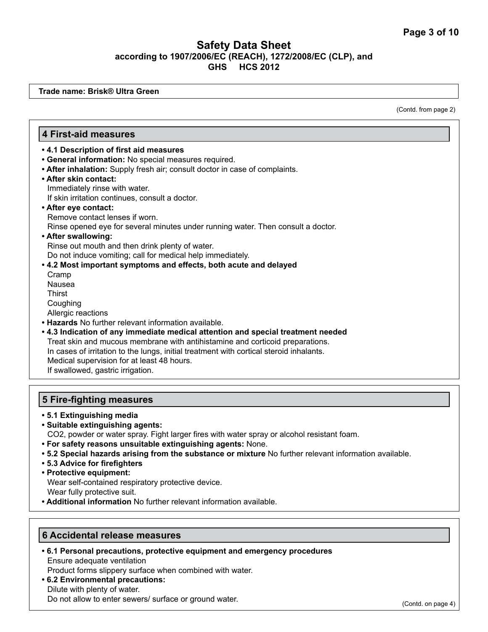**Trade name: Brisk® Ultra Green**

(Contd. from page 2)

## **4 First-aid measures**

- **4.1 Description of first aid measures**
- **General information:** No special measures required.
- **After inhalation:** Supply fresh air; consult doctor in case of complaints.
- **After skin contact:** Immediately rinse with water.
	- If skin irritation continues, consult a doctor.
- **After eye contact:**

Remove contact lenses if worn.

Rinse opened eye for several minutes under running water. Then consult a doctor.

**• After swallowing:** 

Rinse out mouth and then drink plenty of water.

Do not induce vomiting; call for medical help immediately.

- **4.2 Most important symptoms and effects, both acute and delayed**  Cramp Nausea **Thirst** Coughing Allergic reactions **• Hazards** No further relevant information available.
- **4.3 Indication of any immediate medical attention and special treatment needed** Treat skin and mucous membrane with antihistamine and corticoid preparations. In cases of irritation to the lungs, initial treatment with cortical steroid inhalants. Medical supervision for at least 48 hours. If swallowed, gastric irrigation.

#### **5 Fire-fighting measures**

- **5.1 Extinguishing media**
- **Suitable extinguishing agents:**
- CO2, powder or water spray. Fight larger fires with water spray or alcohol resistant foam.
- **For safety reasons unsuitable extinguishing agents:** None.
- **5.2 Special hazards arising from the substance or mixture** No further relevant information available.
- **5.3 Advice for firefighters**
- **Protective equipment:**

Wear self-contained respiratory protective device.

Wear fully protective suit.

**• Additional information** No further relevant information available.

#### **6 Accidental release measures**

**• 6.1 Personal precautions, protective equipment and emergency procedures** Ensure adequate ventilation

Product forms slippery surface when combined with water.

**• 6.2 Environmental precautions:**  Dilute with plenty of water. Do not allow to enter sewers/ surface or ground water.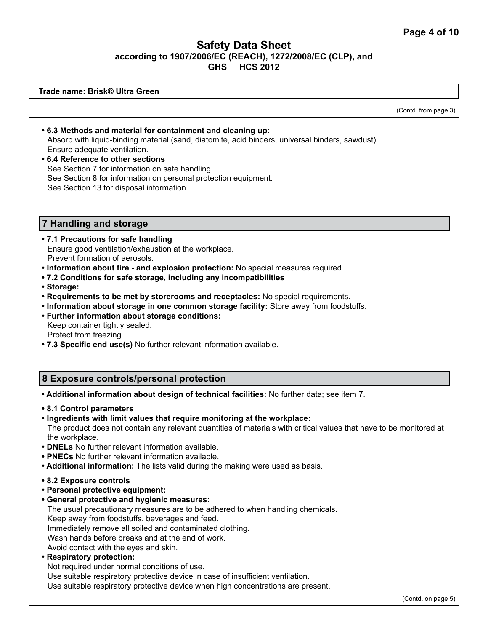**Trade name: Brisk® Ultra Green**

(Contd. from page 3)

- **6.3 Methods and material for containment and cleaning up:** Absorb with liquid-binding material (sand, diatomite, acid binders, universal binders, sawdust). Ensure adequate ventilation. **• 6.4 Reference to other sections**
- See Section 7 for information on safe handling. See Section 8 for information on personal protection equipment. See Section 13 for disposal information.

#### **7 Handling and storage**

- **7.1 Precautions for safe handling** Ensure good ventilation/exhaustion at the workplace. Prevent formation of aerosols.
- **Information about fire and explosion protection:** No special measures required.
- **7.2 Conditions for safe storage, including any incompatibilities**
- **Storage:**
- **Requirements to be met by storerooms and receptacles:** No special requirements.
- **Information about storage in one common storage facility:** Store away from foodstuffs.
- **Further information about storage conditions:**  Keep container tightly sealed. Protect from freezing.
- **7.3 Specific end use(s)** No further relevant information available.

## **8 Exposure controls/personal protection**

**• Additional information about design of technical facilities:** No further data; see item 7.

- **8.1 Control parameters**
- **Ingredients with limit values that require monitoring at the workplace:** The product does not contain any relevant quantities of materials with critical values that have to be monitored at the workplace.
- **DNELs** No further relevant information available.
- **PNECs** No further relevant information available.
- **Additional information:** The lists valid during the making were used as basis.
- **8.2 Exposure controls**
- **Personal protective equipment:**
- **General protective and hygienic measures:**

The usual precautionary measures are to be adhered to when handling chemicals. Keep away from foodstuffs, beverages and feed. Immediately remove all soiled and contaminated clothing. Wash hands before breaks and at the end of work. Avoid contact with the eyes and skin.

**• Respiratory protection:** 

Not required under normal conditions of use.

Use suitable respiratory protective device in case of insufficient ventilation.

Use suitable respiratory protective device when high concentrations are present.

(Contd. on page 5)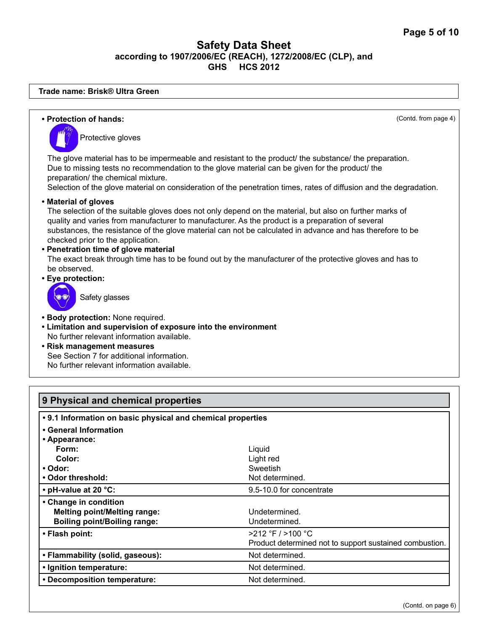#### **Trade name: Brisk® Ultra Green**

| • Protection of hands:                                                                                                                                                                                                                                                                                                                                                                                                                                                                                                                                                                           | (Contd. from page 4) |
|--------------------------------------------------------------------------------------------------------------------------------------------------------------------------------------------------------------------------------------------------------------------------------------------------------------------------------------------------------------------------------------------------------------------------------------------------------------------------------------------------------------------------------------------------------------------------------------------------|----------------------|
| Protective gloves                                                                                                                                                                                                                                                                                                                                                                                                                                                                                                                                                                                |                      |
| The glove material has to be impermeable and resistant to the product/ the substance/ the preparation.<br>Due to missing tests no recommendation to the glove material can be given for the product/ the<br>preparation/ the chemical mixture.<br>Selection of the glove material on consideration of the penetration times, rates of diffusion and the degradation.                                                                                                                                                                                                                             |                      |
| • Material of gloves<br>The selection of the suitable gloves does not only depend on the material, but also on further marks of<br>quality and varies from manufacturer to manufacturer. As the product is a preparation of several<br>substances, the resistance of the glove material can not be calculated in advance and has therefore to be<br>checked prior to the application.<br>• Penetration time of glove material<br>The exact break through time has to be found out by the manufacturer of the protective gloves and has to<br>be observed.<br>• Eye protection:<br>Safety glasses |                      |
| • Body protection: None required.<br>• Limitation and supervision of exposure into the environment<br>No further relevant information available.<br>• Risk management measures<br>See Section 7 for additional information.<br>No further relevant information available.                                                                                                                                                                                                                                                                                                                        |                      |
|                                                                                                                                                                                                                                                                                                                                                                                                                                                                                                                                                                                                  |                      |

| 9 Physical and chemical properties                          |                                                         |  |
|-------------------------------------------------------------|---------------------------------------------------------|--|
| • 9.1 Information on basic physical and chemical properties |                                                         |  |
| • General Information                                       |                                                         |  |
| • Appearance:                                               |                                                         |  |
| Form:                                                       | Liguid                                                  |  |
| Color:                                                      | Light red                                               |  |
| • Odor:                                                     | Sweetish                                                |  |
| • Odor threshold:                                           | Not determined.                                         |  |
| • pH-value at 20 °C:                                        | 9.5-10.0 for concentrate                                |  |
| • Change in condition                                       |                                                         |  |
| <b>Melting point/Melting range:</b>                         | Undetermined.                                           |  |
| <b>Boiling point/Boiling range:</b>                         | Undetermined.                                           |  |
| • Flash point:                                              | $>212$ °F / $>100$ °C                                   |  |
|                                                             | Product determined not to support sustained combustion. |  |
| • Flammability (solid, gaseous):                            | Not determined.                                         |  |
| • Ignition temperature:                                     | Not determined.                                         |  |
| • Decomposition temperature:                                | Not determined.                                         |  |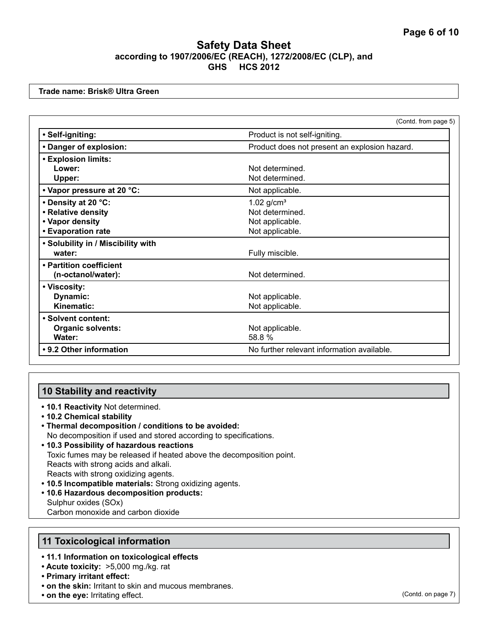**Trade name: Brisk® Ultra Green**

|                                    | (Contd. from page 5)                          |
|------------------------------------|-----------------------------------------------|
| · Self-igniting:                   | Product is not self-igniting.                 |
| • Danger of explosion:             | Product does not present an explosion hazard. |
| <b>• Explosion limits:</b>         |                                               |
| Lower:                             | Not determined.                               |
| Upper:                             | Not determined.                               |
| • Vapor pressure at 20 °C:         | Not applicable.                               |
| • Density at 20 °C:                | $1.02$ g/cm <sup>3</sup>                      |
| • Relative density                 | Not determined.                               |
| • Vapor density                    | Not applicable.                               |
| • Evaporation rate                 | Not applicable.                               |
| • Solubility in / Miscibility with |                                               |
| water:                             | Fully miscible.                               |
| • Partition coefficient            |                                               |
| (n-octanol/water):                 | Not determined.                               |
| • Viscosity:                       |                                               |
| Dynamic:                           | Not applicable.                               |
| Kinematic:                         | Not applicable.                               |
| · Solvent content:                 |                                               |
| <b>Organic solvents:</b>           | Not applicable.                               |
| Water:                             | 58.8 %                                        |
| • 9.2 Other information            | No further relevant information available.    |

## **10 Stability and reactivity**

- **10.1 Reactivity** Not determined.
- **10.2 Chemical stability**
- **Thermal decomposition / conditions to be avoided:** No decomposition if used and stored according to specifications.
- **10.3 Possibility of hazardous reactions** Toxic fumes may be released if heated above the decomposition point. Reacts with strong acids and alkali. Reacts with strong oxidizing agents.
- **10.5 Incompatible materials:** Strong oxidizing agents.
- **10.6 Hazardous decomposition products:**  Sulphur oxides (SOx) Carbon monoxide and carbon dioxide

#### **11 Toxicological information**

#### **• 11.1 Information on toxicological effects**

- **Acute toxicity:** >5,000 mg./kg. rat
- **Primary irritant effect:**
- **on the skin:** Irritant to skin and mucous membranes.
- **on the eye:** Irritating effect.

(Contd. on page 7)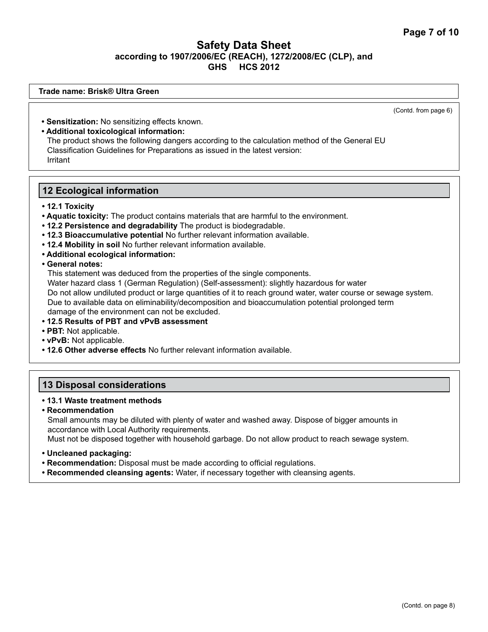#### **Trade name: Brisk® Ultra Green**

(Contd. from page 6)

- **Sensitization:** No sensitizing effects known.
- **Additional toxicological information:**

The product shows the following dangers according to the calculation method of the General EU Classification Guidelines for Preparations as issued in the latest version: Irritant

#### **12 Ecological information**

- **12.1 Toxicity**
- **Aquatic toxicity:** The product contains materials that are harmful to the environment.
- **12.2 Persistence and degradability** The product is biodegradable.
- **12.3 Bioaccumulative potential** No further relevant information available.
- **12.4 Mobility in soil** No further relevant information available.
- **Additional ecological information:**

**• General notes:**

This statement was deduced from the properties of the single components. Water hazard class 1 (German Regulation) (Self-assessment): slightly hazardous for water Do not allow undiluted product or large quantities of it to reach ground water, water course or sewage system. Due to available data on eliminability/decomposition and bioaccumulation potential prolonged term damage of the environment can not be excluded.

- **12.5 Results of PBT and vPvB assessment**
- **PBT:** Not applicable.
- **vPvB:** Not applicable.
- **12.6 Other adverse effects** No further relevant information available.

## **13 Disposal considerations**

#### **• 13.1 Waste treatment methods**

- **Recommendation** Small amounts may be diluted with plenty of water and washed away. Dispose of bigger amounts in accordance with Local Authority requirements. Must not be disposed together with household garbage. Do not allow product to reach sewage system.
- **Uncleaned packaging:**
- **Recommendation:** Disposal must be made according to official regulations.
- **Recommended cleansing agents:** Water, if necessary together with cleansing agents.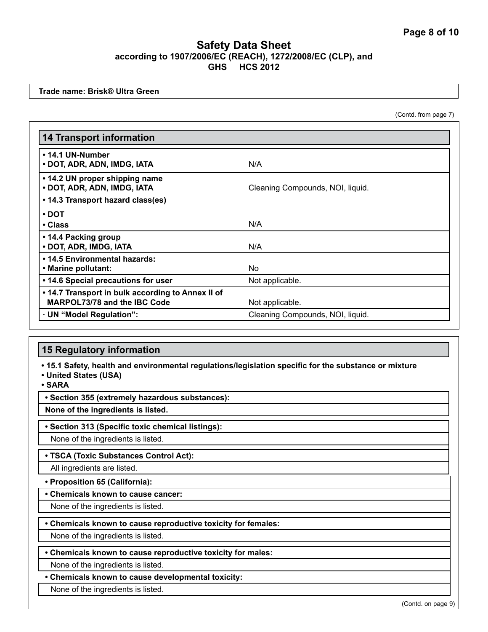**Trade name: Brisk® Ultra Green**

(Contd. from page 7)

| <b>14 Transport information</b>                               |                                  |
|---------------------------------------------------------------|----------------------------------|
| • 14.1 UN-Number<br>• DOT, ADR, ADN, IMDG, IATA               | N/A                              |
| • 14.2 UN proper shipping name<br>• DOT, ADR, ADN, IMDG, IATA | Cleaning Compounds, NOI, liquid. |
| • 14.3 Transport hazard class(es)                             |                                  |
| $\cdot$ DOT                                                   |                                  |
| • Class                                                       | N/A                              |
| • 14.4 Packing group<br>• DOT, ADR, IMDG, IATA                | N/A                              |
| • 14.5 Environmental hazards:                                 |                                  |
| • Marine pollutant:                                           | No.                              |
| • 14.6 Special precautions for user                           | Not applicable.                  |
| • 14.7 Transport in bulk according to Annex II of             |                                  |
| MARPOL73/78 and the IBC Code                                  | Not applicable.                  |
| · UN "Model Regulation":                                      | Cleaning Compounds, NOI, liquid. |

#### **15 Regulatory information**

**• 15.1 Safety, health and environmental regulations/legislation specific for the substance or mixture**

**• United States (USA)**

**• SARA**

**• Section 355 (extremely hazardous substances):**

**None of the ingredients is listed.**

**• Section 313 (Specific toxic chemical listings):**

None of the ingredients is listed.

**• TSCA (Toxic Substances Control Act):**

All ingredients are listed.

**• Proposition 65 (California):**

**• Chemicals known to cause cancer:**

None of the ingredients is listed.

**• Chemicals known to cause reproductive toxicity for females:**

None of the ingredients is listed.

**• Chemicals known to cause reproductive toxicity for males:**

None of the ingredients is listed.

## **• Chemicals known to cause developmental toxicity:**

None of the ingredients is listed.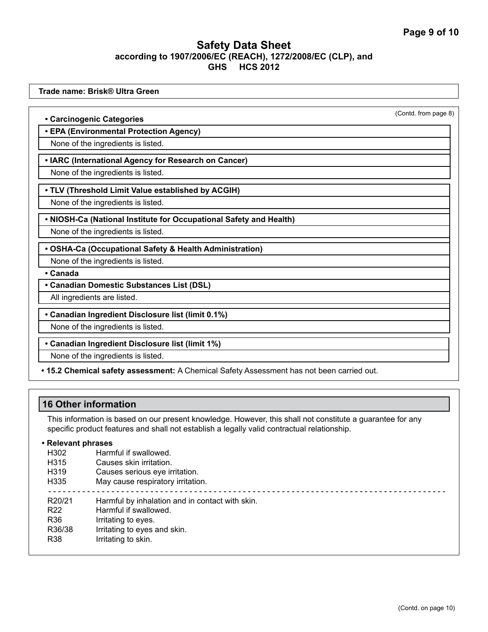**Trade name: Brisk® Ultra Green** (Contd. from page 8) **• Carcinogenic Categories • EPA (Environmental Protection Agency)** None of the ingredients is listed. **• IARC (International Agency for Research on Cancer)** None of the ingredients is listed. **• TLV (Threshold Limit Value established by ACGIH)** None of the ingredients is listed. **• NIOSH-Ca (National Institute for Occupational Safety and Health)** None of the ingredients is listed. **• OSHA-Ca (Occupational Safety & Health Administration)** None of the ingredients is listed. **• Canada • Canadian Domestic Substances List (DSL)** All ingredients are listed. **• Canadian Ingredient Disclosure list (limit 0.1%)** None of the ingredients is listed. **• Canadian Ingredient Disclosure list (limit 1%)** None of the ingredients is listed. **• 15.2 Chemical safety assessment:** A Chemical Safety Assessment has not been carried out.

## **16 Other information**

This information is based on our present knowledge. However, this shall not constitute a guarantee for any specific product features and shall not establish a legally valid contractual relationship.

#### **• Relevant phrases**

| H <sub>302</sub>  | Harmful if swallowed.                           |
|-------------------|-------------------------------------------------|
| H315              | Causes skin irritation.                         |
| H <sub>3</sub> 19 | Causes serious eye irritation.                  |
| H335              | May cause respiratory irritation.               |
|                   |                                                 |
| R20/21            | Harmful by inhalation and in contact with skin. |
| R <sub>22</sub>   | Harmful if swallowed.                           |
| R36               | Irritating to eyes.                             |
| R36/38            | Irritating to eyes and skin.                    |
| R38               |                                                 |
|                   |                                                 |
|                   | Irritating to skin.                             |